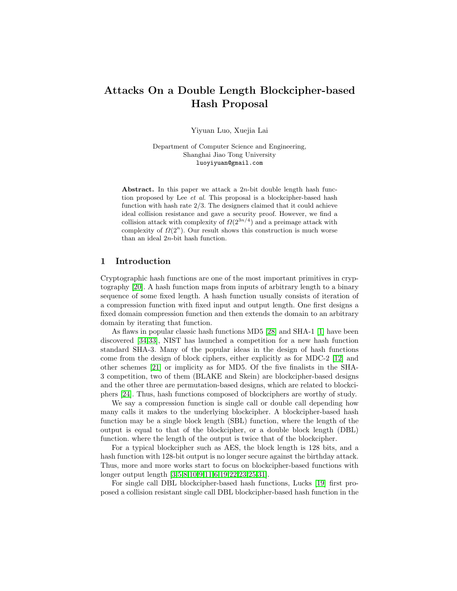# Attacks On a Double Length Blockcipher-based Hash Proposal

Yiyuan Luo, Xuejia Lai

Department of Computer Science and Engineering, Shanghai Jiao Tong University luoyiyuan@gmail.com

Abstract. In this paper we attack a  $2n$ -bit double length hash function proposed by Lee  $et$  al. This proposal is a blockcipher-based hash function with hash rate 2/3. The designers claimed that it could achieve ideal collision resistance and gave a security proof. However, we find a collision attack with complexity of  $\Omega(2^{3n/4})$  and a preimage attack with complexity of  $\Omega(2^n)$ . Our result shows this construction is much worse than an ideal  $2n$ -bit hash function.

# 1 Introduction

Cryptographic hash functions are one of the most important primitives in cryptography [\[20\]](#page-7-0). A hash function maps from inputs of arbitrary length to a binary sequence of some fixed length. A hash function usually consists of iteration of a compression function with fixed input and output length. One first designs a fixed domain compression function and then extends the domain to an arbitrary domain by iterating that function.

As flaws in popular classic hash functions MD5 [\[28\]](#page-8-0) and SHA-1 [\[1\]](#page-6-0) have been discovered [\[34](#page-8-1)[,33\]](#page-8-2), NIST has launched a competition for a new hash function standard SHA-3. Many of the popular ideas in the design of hash functions come from the design of block ciphers, either explicitly as for MDC-2 [\[12\]](#page-7-1) and other schemes [\[21\]](#page-7-2) or implicity as for MD5. Of the five finalists in the SHA-3 competition, two of them (BLAKE and Skein) are blockcipher-based designs and the other three are permutation-based designs, which are related to blockciphers [\[24\]](#page-7-3). Thus, hash functions composed of blockciphers are worthy of study.

We say a compression function is single call or double call depending how many calls it makes to the underlying blockcipher. A blockcipher-based hash function may be a single block length (SBL) function, where the length of the output is equal to that of the blockcipher, or a double block length (DBL) function. where the length of the output is twice that of the blockcipher.

For a typical blockcipher such as AES, the block length is 128 bits, and a hash function with 128-bit output is no longer secure against the birthday attack. Thus, more and more works start to focus on blockcipher-based functions with longer output length [\[3,](#page-6-1)[5](#page-6-2)[,8,](#page-7-4)[10,](#page-7-5)[9](#page-7-6)[,11,](#page-7-7)[6,](#page-6-3)[19,](#page-7-8)[22](#page-7-9)[,23,](#page-7-10)[25,](#page-7-11)[31\]](#page-8-3).

For single call DBL blockcipher-based hash functions, Lucks [\[19\]](#page-7-8) first proposed a collision resistant single call DBL blockcipher-based hash function in the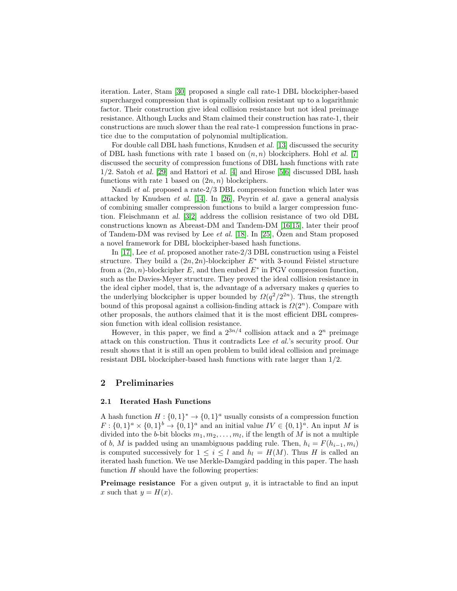iteration. Later, Stam [\[30\]](#page-8-4) proposed a single call rate-1 DBL blockcipher-based supercharged compression that is opimally collision resistant up to a logarithmic factor. Their construction give ideal collision resistance but not ideal preimage resistance. Although Lucks and Stam claimed their construction has rate-1, their constructions are much slower than the real rate-1 compression functions in practice due to the computation of polynomial multiplication.

For double call DBL hash functions, Knudsen et al. [\[13\]](#page-7-12) discussed the security of DBL hash functions with rate 1 based on  $(n, n)$  blockciphers. Hohl et al. [\[7\]](#page-6-4) discussed the security of compression functions of DBL hash functions with rate  $1/2$ . Satoh et al. [\[29\]](#page-8-5) and Hattori et al. [\[4\]](#page-6-5) and Hirose [\[5](#page-6-2)[,6\]](#page-6-3) discussed DBL hash functions with rate 1 based on  $(2n, n)$  blockciphers.

Nandi et al. proposed a rate-2/3 DBL compression function which later was attacked by Knudsen et al. [\[14\]](#page-7-13). In [\[26\]](#page-7-14), Peyrin et al. gave a general analysis of combining smaller compression functions to build a larger compression function. Fleischmann et al. [\[3,](#page-6-1)[2\]](#page-6-6) address the collision resistance of two old DBL constructions known as Abreast-DM and Tandem-DM [\[16,](#page-7-15)[15\]](#page-7-16), later their proof of Tandem-DM was revised by Lee et al. [\[18\]](#page-7-17). In [\[25\]](#page-7-11), Ozen and Stam proposed a novel framework for DBL blockcipher-based hash functions.

In [\[17\]](#page-7-18), Lee et al. proposed another rate-2/3 DBL construction using a Feistel structure. They build a  $(2n, 2n)$ -blockcipher  $E^*$  with 3-round Feistel structure from a  $(2n, n)$ -blockcipher E, and then embed  $E^*$  in PGV compression function, such as the Davies-Meyer structure. They proved the ideal collision resistance in the ideal cipher model, that is, the advantage of a adversary makes  $q$  queries to the underlying blockcipher is upper bounded by  $\Omega(q^2/2^{2n})$ . Thus, the strength bound of this proposal against a collision-finding attack is  $\Omega(2^n)$ . Compare with other proposals, the authors claimed that it is the most efficient DBL compression function with ideal collision resistance.

However, in this paper, we find a  $2^{3n/4}$  collision attack and a  $2^n$  preimage attack on this construction. Thus it contradicts Lee et al.'s security proof. Our result shows that it is still an open problem to build ideal collision and preimage resistant DBL blockcipher-based hash functions with rate larger than 1/2.

# 2 Preliminaries

#### 2.1 Iterated Hash Functions

A hash function  $H: \{0,1\}^* \to \{0,1\}^a$  usually consists of a compression function  $F: \{0,1\}^a \times \{0,1\}^b \rightarrow \{0,1\}^a$  and an initial value  $IV \in \{0,1\}^a$ . An input M is divided into the *b*-bit blocks  $m_1, m_2, \ldots, m_l$ , if the length of M is not a multiple of b, M is padded using an unambiguous padding rule. Then,  $h_i = F(h_{i-1}, m_i)$ is computed successively for  $1 \leq i \leq l$  and  $h_l = H(M)$ . Thus H is called an iterated hash function. We use Merkle-Damgård padding in this paper. The hash function  $H$  should have the following properties:

**Preimage resistance** For a given output  $y$ , it is intractable to find an input x such that  $y = H(x)$ .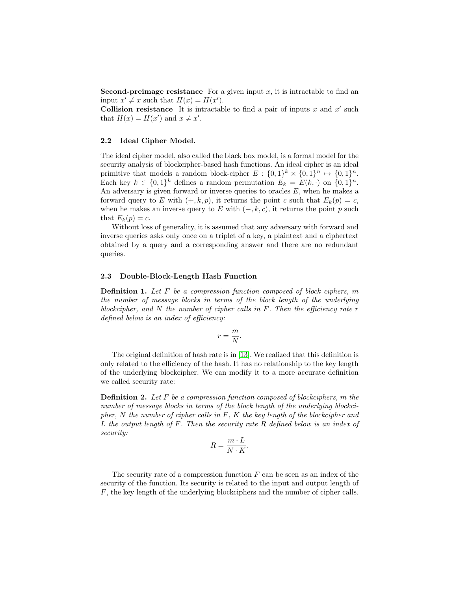**Second-preimage resistance** For a given input  $x$ , it is intractable to find an input  $x' \neq x$  such that  $H(x) = H(x')$ .

Collision resistance It is intractable to find a pair of inputs  $x$  and  $x'$  such that  $H(x) = H(x')$  and  $x \neq x'$ .

#### 2.2 Ideal Cipher Model.

The ideal cipher model, also called the black box model, is a formal model for the security analysis of blockcipher-based hash functions. An ideal cipher is an ideal primitive that models a random block-cipher  $E: \{0,1\}^k \times \{0,1\}^n \mapsto \{0,1\}^n$ . Each key  $k \in \{0,1\}^k$  defines a random permutation  $E_k = E(k, \cdot)$  on  $\{0,1\}^n$ . An adversary is given forward or inverse queries to oracles  $E$ , when he makes a forward query to E with  $(+, k, p)$ , it returns the point c such that  $E_k(p) = c$ , when he makes an inverse query to E with  $(-, k, c)$ , it returns the point p such that  $E_k(p) = c$ .

Without loss of generality, it is assumed that any adversary with forward and inverse queries asks only once on a triplet of a key, a plaintext and a ciphertext obtained by a query and a corresponding answer and there are no redundant queries.

#### 2.3 Double-Block-Length Hash Function

**Definition 1.** Let F be a compression function composed of block ciphers, m the number of message blocks in terms of the block length of the underlying blockcipher, and N the number of cipher calls in  $F$ . Then the efficiency rate r defined below is an index of efficiency:

$$
r = \frac{m}{N}.
$$

The original definition of hash rate is in [\[13\]](#page-7-12). We realized that this definition is only related to the efficiency of the hash. It has no relationship to the key length of the underlying blockcipher. We can modify it to a more accurate definition we called security rate:

<span id="page-2-0"></span>**Definition 2.** Let  $F$  be a compression function composed of blockciphers,  $m$  the number of message blocks in terms of the block length of the underlying blockcipher,  $N$  the number of cipher calls in  $F$ ,  $K$  the key length of the blockcipher and L the output length of  $F$ . Then the security rate  $R$  defined below is an index of security:

$$
R = \frac{m \cdot L}{N \cdot K}.
$$

The security rate of a compression function  $F$  can be seen as an index of the security of the function. Its security is related to the input and output length of F, the key length of the underlying blockciphers and the number of cipher calls.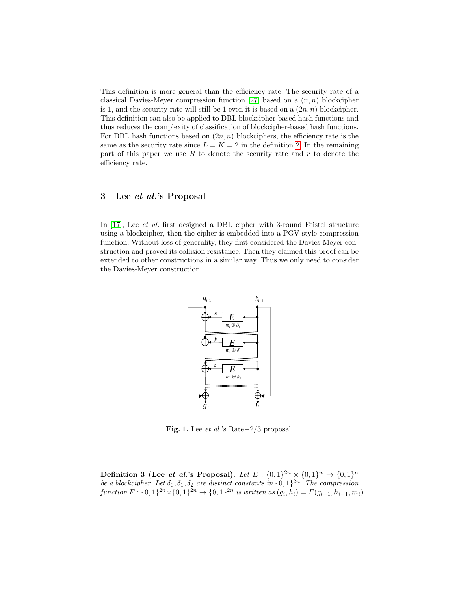This definition is more general than the efficiency rate. The security rate of a classical Davies-Meyer compression function [\[27\]](#page-8-6) based on a  $(n, n)$  blockcipher is 1, and the security rate will still be 1 even it is based on a  $(2n, n)$  blockcipher. This definition can also be applied to DBL blockcipher-based hash functions and thus reduces the complexity of classification of blockcipher-based hash functions. For DBL hash functions based on  $(2n, n)$  blockciphers, the efficiency rate is the same as the security rate since  $L = K = 2$  in the definition [2.](#page-2-0) In the remaining part of this paper we use R to denote the security rate and  $r$  to denote the efficiency rate.

# 3 Lee *et al.*'s Proposal

In [\[17\]](#page-7-18), Lee *et al.* first designed a DBL cipher with 3-round Feistel structure using a blockcipher, then the cipher is embedded into a PGV-style compression function. Without loss of generality, they first considered the Davies-Meyer construction and proved its collision resistance. Then they claimed this proof can be extended to other constructions in a similar way. Thus we only need to consider the Davies-Meyer construction.



<span id="page-3-0"></span>Fig. 1. Lee *et al.*'s Rate $-2/3$  proposal.

Definition 3 (Lee *et al.*'s Proposal). Let  $E: \{0,1\}^{2n} \times \{0,1\}^n \rightarrow \{0,1\}^n$ be a blockcipher. Let  $\delta_0, \delta_1, \delta_2$  are distinct constants in  $\{0, 1\}^{2n}$ . The compression function  $F: \{0,1\}^{2n} \times \{0,1\}^{2n} \to \{0,1\}^{2n}$  is written as  $(g_i, h_i) = F(g_{i-1}, h_{i-1}, m_i)$ .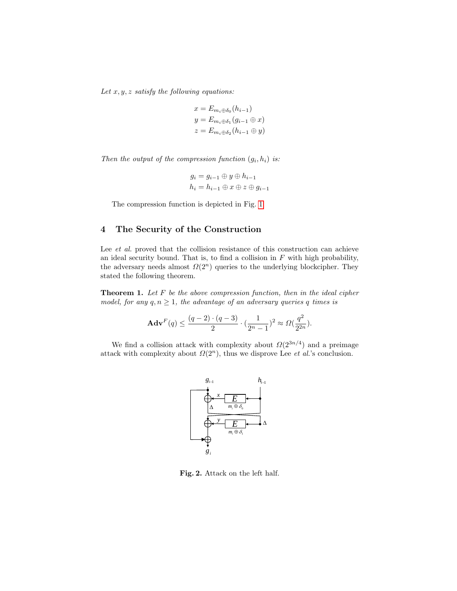Let  $x, y, z$  satisfy the following equations:

$$
x = E_{m_i \oplus \delta_0}(h_{i-1})
$$
  

$$
y = E_{m_i \oplus \delta_1}(g_{i-1} \oplus x)
$$
  

$$
z = E_{m_i \oplus \delta_2}(h_{i-1} \oplus y)
$$

Then the output of the compression function  $(g_i, h_i)$  is:

$$
g_i = g_{i-1} \oplus y \oplus h_{i-1}
$$

$$
h_i = h_{i-1} \oplus x \oplus z \oplus g_{i-1}
$$

The compression function is depicted in Fig. [1](#page-3-0)

# 4 The Security of the Construction

Lee *et al.* proved that the collision resistance of this construction can achieve an ideal security bound. That is, to find a collision in  $F$  with high probability, the adversary needs almost  $\Omega(2^n)$  queries to the underlying blockcipher. They stated the following theorem.

**Theorem 1.** Let  $F$  be the above compression function, then in the ideal cipher model, for any  $q, n \ge 1$ , the advantage of an adversary queries q times is

$$
\mathbf{Adv}^{F}(q) \le \frac{(q-2) \cdot (q-3)}{2} \cdot \left(\frac{1}{2^{n}-1}\right)^{2} \approx \Omega(\frac{q^{2}}{2^{2n}}).
$$

We find a collision attack with complexity about  $\Omega(2^{3n/4})$  and a preimage attack with complexity about  $\Omega(2^n)$ , thus we disprove Lee *et al.*'s conclusion.



<span id="page-4-0"></span>Fig. 2. Attack on the left half.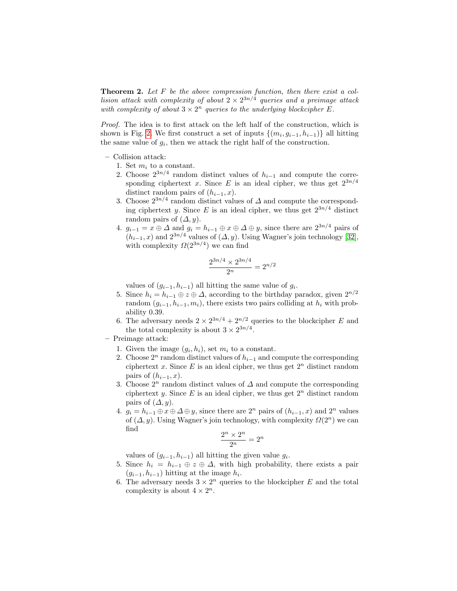**Theorem 2.** Let  $F$  be the above compression function, then there exist a collision attack with complexity of about  $2 \times 2^{3n/4}$  queries and a preimage attack with complexity of about  $3 \times 2^n$  queries to the underlying blockcipher E.

Proof. The idea is to first attack on the left half of the construction, which is shown is Fig. [2.](#page-4-0) We first construct a set of inputs  $\{(m_i, g_{i-1}, h_{i-1})\}$  all hitting the same value of  $g_i$ , then we attack the right half of the construction.

- Collision attack:
	- 1. Set  $m_i$  to a constant.
	- 2. Choose  $2^{3n/4}$  random distinct values of  $h_{i-1}$  and compute the corresponding ciphertext x. Since E is an ideal cipher, we thus get  $2^{3n/4}$ distinct random pairs of  $(h_{i-1}, x)$ .
	- 3. Choose  $2^{3n/4}$  random distinct values of  $\Delta$  and compute the corresponding ciphertext y. Since E is an ideal cipher, we thus get  $2^{3n/4}$  distinct random pairs of  $(\Delta, y)$ .
	- 4.  $g_{i-1} = x \oplus \Delta$  and  $g_i = h_{i-1} \oplus x \oplus \Delta \oplus y$ , since there are  $2^{3n/4}$  pairs of  $(h_{i-1}, x)$  and  $2^{3n/4}$  values of  $(\Delta, y)$ . Using Wagner's join technology [\[32\]](#page-8-7), with complexity  $\Omega(2^{3n/4})$  we can find

$$
\frac{2^{3n/4} \times 2^{3n/4}}{2^n} = 2^{n/2}
$$

values of  $(g_{i-1}, h_{i-1})$  all hitting the same value of  $g_i$ .

- 5. Since  $h_i = h_{i-1} \oplus z \oplus \Delta$ , according to the birthday paradox, given  $2^{n/2}$ random  $(g_{i-1}, h_{i-1}, m_i)$ , there exists two pairs colliding at  $h_i$  with probability 0.39.
- 6. The adversary needs  $2 \times 2^{3n/4} + 2^{n/2}$  queries to the blockcipher E and the total complexity is about  $3 \times 2^{3n/4}$ .
- Preimage attack:
	- 1. Given the image  $(g_i, h_i)$ , set  $m_i$  to a constant.
	- 2. Choose  $2^n$  random distinct values of  $h_{i-1}$  and compute the corresponding ciphertext x. Since E is an ideal cipher, we thus get  $2<sup>n</sup>$  distinct random pairs of  $(h_{i-1}, x)$ .
	- 3. Choose  $2^n$  random distinct values of  $\Delta$  and compute the corresponding ciphertext y. Since  $E$  is an ideal cipher, we thus get  $2<sup>n</sup>$  distinct random pairs of  $(\Delta, y)$ .
	- 4.  $q_i = h_{i-1} \oplus x \oplus \Delta \oplus y$ , since there are  $2^n$  pairs of  $(h_{i-1}, x)$  and  $2^n$  values of  $(\Delta, y)$ . Using Wagner's join technology, with complexity  $\Omega(2^n)$  we can find

$$
\frac{2^n \times 2^n}{2^n} = 2^n
$$

values of  $(g_{i-1}, h_{i-1})$  all hitting the given value  $g_i$ .

- 5. Since  $h_i = h_{i-1} \oplus z \oplus \Delta$ , with high probability, there exists a pair  $(g_{i-1}, h_{i-1})$  hitting at the image  $h_i$ .
- 6. The adversary needs  $3 \times 2^n$  queries to the blockcipher E and the total complexity is about  $4 \times 2^n$ .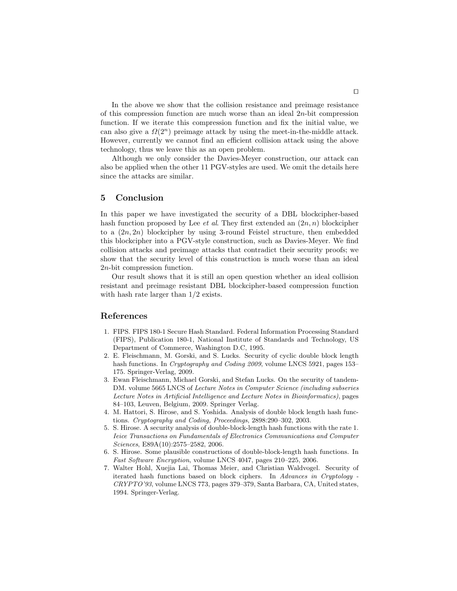In the above we show that the collision resistance and preimage resistance of this compression function are much worse than an ideal  $2n$ -bit compression function. If we iterate this compression function and fix the initial value, we can also give a  $\Omega(2^n)$  preimage attack by using the meet-in-the-middle attack. However, currently we cannot find an efficient collision attack using the above technology, thus we leave this as an open problem.

Although we only consider the Davies-Meyer construction, our attack can also be applied when the other 11 PGV-styles are used. We omit the details here since the attacks are similar.

### 5 Conclusion

In this paper we have investigated the security of a DBL blockcipher-based hash function proposed by Lee *et al.* They first extended an  $(2n, n)$  blockcipher to a  $(2n, 2n)$  blockcipher by using 3-round Feistel structure, then embedded this blockcipher into a PGV-style construction, such as Davies-Meyer. We find collision attacks and preimage attacks that contradict their security proofs; we show that the security level of this construction is much worse than an ideal 2n-bit compression function.

Our result shows that it is still an open question whether an ideal collision resistant and preimage resistant DBL blockcipher-based compression function with hash rate larger than 1/2 exists.

# References

- <span id="page-6-0"></span>1. FIPS. FIPS 180-1 Secure Hash Standard. Federal Information Processing Standard (FIPS), Publication 180-1, National Institute of Standards and Technology, US Department of Commerce, Washington D.C, 1995.
- <span id="page-6-6"></span>2. E. Fleischmann, M. Gorski, and S. Lucks. Security of cyclic double block length hash functions. In Cryptography and Coding 2009, volume LNCS 5921, pages 153– 175. Springer-Verlag, 2009.
- <span id="page-6-1"></span>3. Ewan Fleischmann, Michael Gorski, and Stefan Lucks. On the security of tandem-DM. volume 5665 LNCS of Lecture Notes in Computer Science (including subseries Lecture Notes in Artificial Intelligence and Lecture Notes in Bioinformatics), pages 84–103, Leuven, Belgium, 2009. Springer Verlag.
- <span id="page-6-5"></span>4. M. Hattori, S. Hirose, and S. Yoshida. Analysis of double block length hash functions. Cryptography and Coding, Proceedings, 2898:290–302, 2003.
- <span id="page-6-2"></span>5. S. Hirose. A security analysis of double-block-length hash functions with the rate 1. Ieice Transactions on Fundamentals of Electronics Communications and Computer Sciences, E89A(10):2575–2582, 2006.
- <span id="page-6-3"></span>6. S. Hirose. Some plausible constructions of double-block-length hash functions. In Fast Software Encryption, volume LNCS 4047, pages 210–225, 2006.
- <span id="page-6-4"></span>7. Walter Hohl, Xuejia Lai, Thomas Meier, and Christian Waldvogel. Security of iterated hash functions based on block ciphers. In Advances in Cryptology - CRYPTO'93, volume LNCS 773, pages 379–379, Santa Barbara, CA, United states, 1994. Springer-Verlag.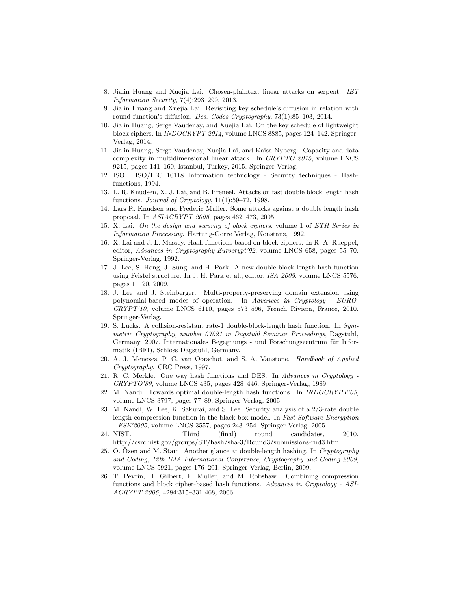- <span id="page-7-4"></span>8. Jialin Huang and Xuejia Lai. Chosen-plaintext linear attacks on serpent. IET Information Security, 7(4):293–299, 2013.
- <span id="page-7-6"></span>9. Jialin Huang and Xuejia Lai. Revisiting key schedule's diffusion in relation with round function's diffusion. Des. Codes Cryptography, 73(1):85–103, 2014.
- <span id="page-7-5"></span>10. Jialin Huang, Serge Vaudenay, and Xuejia Lai. On the key schedule of lightweight block ciphers. In INDOCRYPT 2014, volume LNCS 8885, pages 124–142. Springer-Verlag, 2014.
- <span id="page-7-7"></span>11. Jialin Huang, Serge Vaudenay, Xuejia Lai, and Kaisa Nyberg:. Capacity and data complexity in multidimensional linear attack. In CRYPTO 2015, volume LNCS 9215, pages 141–160, Istanbul, Turkey, 2015. Springer-Verlag.
- <span id="page-7-1"></span>12. ISO. ISO/IEC 10118 Information technology - Security techniques - Hashfunctions, 1994.
- <span id="page-7-12"></span>13. L. R. Knudsen, X. J. Lai, and B. Preneel. Attacks on fast double block length hash functions. Journal of Cryptology,  $11(1):59-72$ , 1998.
- <span id="page-7-13"></span>14. Lars R. Knudsen and Frederic Muller. Some attacks against a double length hash proposal. In ASIACRYPT 2005, pages 462–473, 2005.
- <span id="page-7-16"></span>15. X. Lai. On the design and security of block ciphers, volume 1 of ETH Series in Information Processing. Hartung-Gorre Verlag, Konstanz, 1992.
- <span id="page-7-15"></span>16. X. Lai and J. L. Massey. Hash functions based on block ciphers. In R. A. Rueppel, editor, Advances in Cryptography-Eurocrypt'92, volume LNCS 658, pages 55–70. Springer-Verlag, 1992.
- <span id="page-7-18"></span>17. J. Lee, S. Hong, J. Sung, and H. Park. A new double-block-length hash function using Feistel structure. In J. H. Park et al., editor, ISA 2009, volume LNCS 5576, pages 11–20, 2009.
- <span id="page-7-17"></span>18. J. Lee and J. Steinberger. Multi-property-preserving domain extension using polynomial-based modes of operation. In Advances in Cryptology - EURO-CRYPT'10, volume LNCS 6110, pages 573–596, French Riviera, France, 2010. Springer-Verlag.
- <span id="page-7-8"></span>19. S. Lucks. A collision-resistant rate-1 double-block-length hash function. In Symmetric Cryptography, number 07021 in Dagstuhl Seminar Proceedings, Dagstuhl, Germany, 2007. Internationales Begegnungs - und Forschungszentrum für Informatik (IBFI), Schloss Dagstuhl, Germany.
- <span id="page-7-0"></span>20. A. J. Menezes, P. C. van Oorschot, and S. A. Vanstone. Handbook of Applied Cryptography. CRC Press, 1997.
- <span id="page-7-2"></span>21. R. C. Merkle. One way hash functions and DES. In Advances in Cryptology - CRYPTO'89, volume LNCS 435, pages 428–446. Springer-Verlag, 1989.
- <span id="page-7-9"></span>22. M. Nandi. Towards optimal double-length hash functions. In INDOCRYPT'05, volume LNCS 3797, pages 77–89. Springer-Verlag, 2005.
- <span id="page-7-10"></span>23. M. Nandi, W. Lee, K. Sakurai, and S. Lee. Security analysis of a 2/3-rate double length compression function in the black-box model. In Fast Software Encryption - FSE'2005, volume LNCS 3557, pages 243–254. Springer-Verlag, 2005.
- <span id="page-7-3"></span>24. NIST. Third (final) round candidates, 2010. http://csrc.nist.gov/groups/ST/hash/sha-3/Round3/submissions-rnd3.html.
- <span id="page-7-11"></span>25. O. Ozen and M. Stam. Another glance at double-length hashing. In  $Cryptography$ and Coding, 12th IMA International Conference, Cryptography and Coding 2009, volume LNCS 5921, pages 176–201. Springer-Verlag, Berlin, 2009.
- <span id="page-7-14"></span>26. T. Peyrin, H. Gilbert, F. Muller, and M. Robshaw. Combining compression functions and block cipher-based hash functions. Advances in Cryptology - ASI-ACRYPT 2006, 4284:315–331 468, 2006.